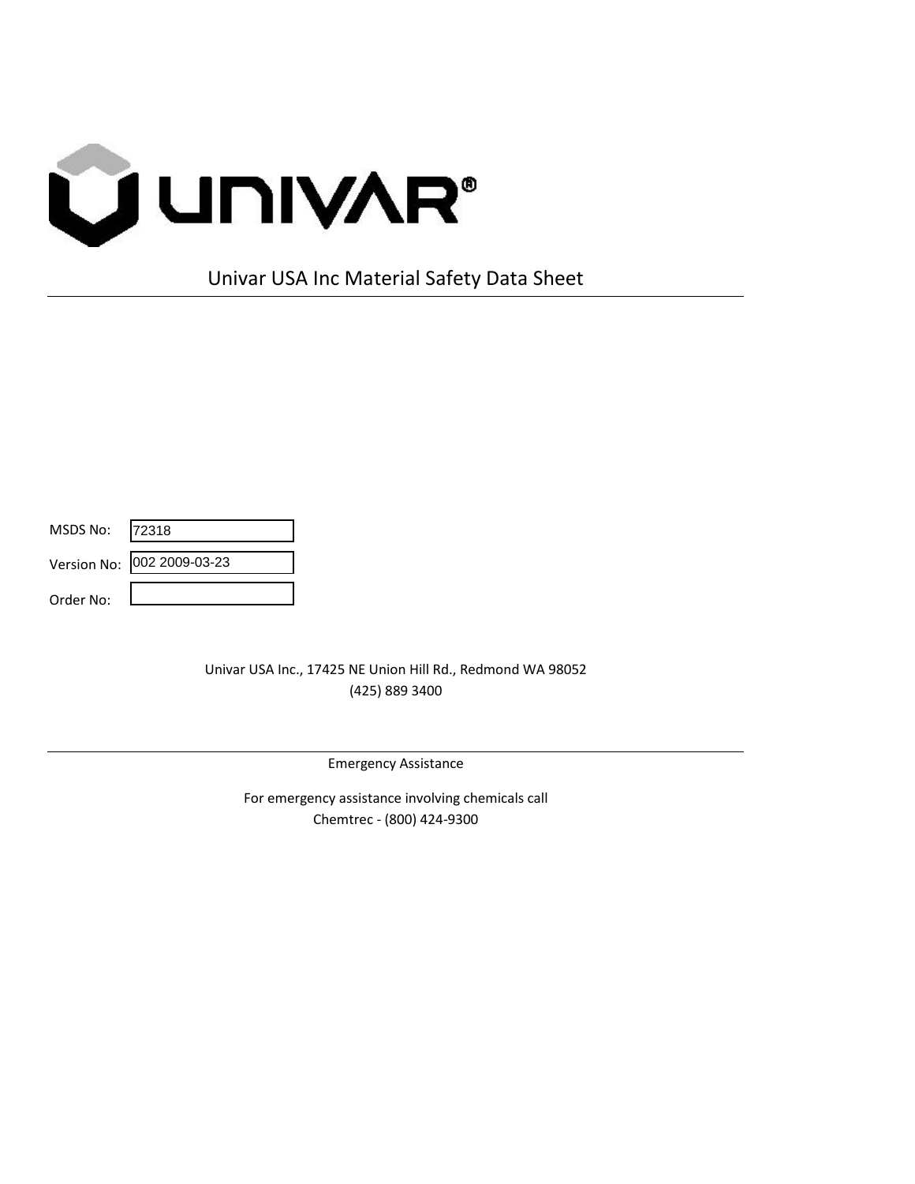

Univar USA Inc Material Safety Data Sheet

| MSDS No:  | 72318                      |
|-----------|----------------------------|
|           | Version No: 002 2009-03-23 |
| Order No: |                            |

Univar USA Inc., 17425 NE Union Hill Rd., Redmond WA 98052 (425) 889 3400

Emergency Assistance

For emergency assistance involving chemicals call Chemtrec - (800) 424-9300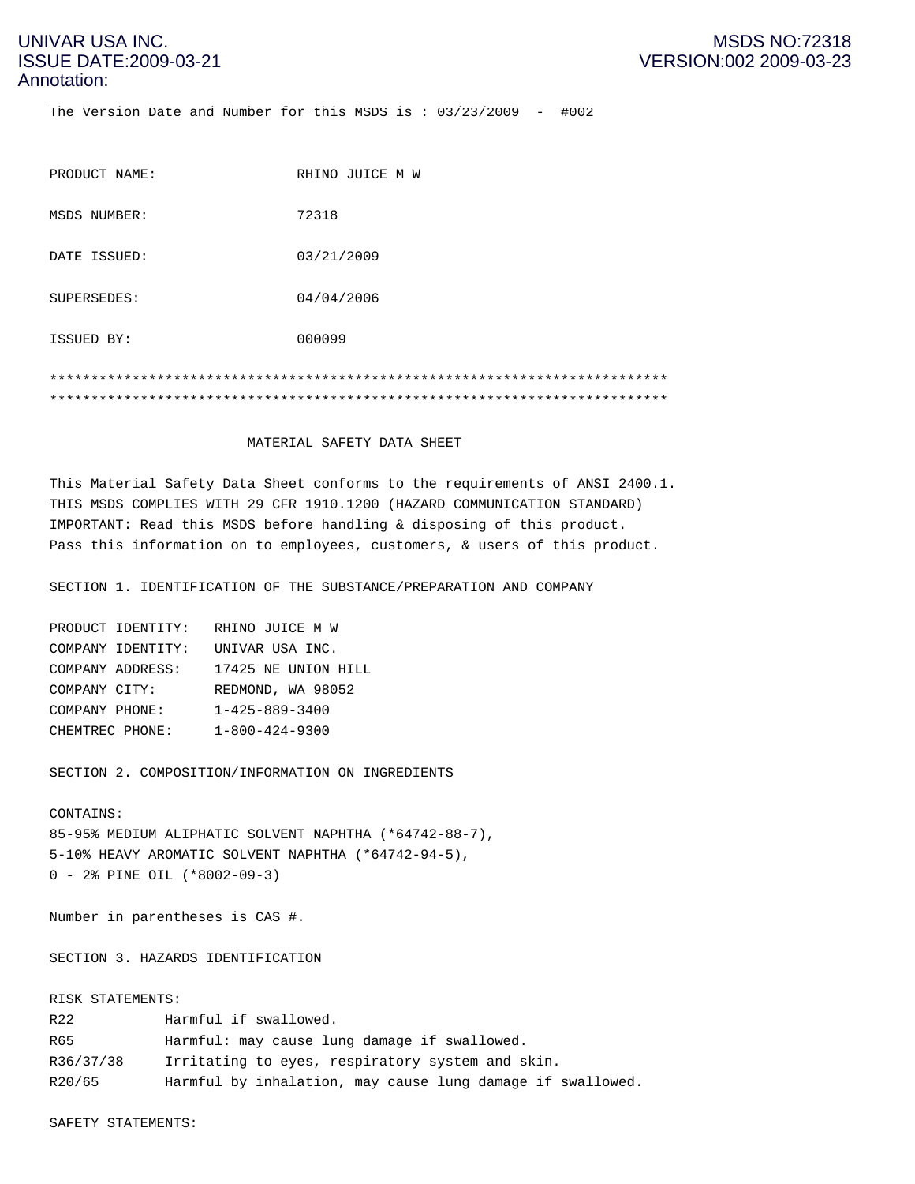The Version Date and Number for this MSDS is : 03/23/2009 - #002

| PRODUCT NAME: | RHINO JUICE M W |
|---------------|-----------------|
| MSDS NUMBER:  | 72318           |
| DATE ISSUED:  | 03/21/2009      |
| SUPERSEDES:   | 04/04/2006      |
| ISSUED BY:    | 000099          |
|               |                 |
|               |                 |

#### MATERIAL SAFETY DATA SHEET

This Material Safety Data Sheet conforms to the requirements of ANSI 2400.1. THIS MSDS COMPLIES WITH 29 CFR 1910.1200 (HAZARD COMMUNICATION STANDARD) IMPORTANT: Read this MSDS before handling & disposing of this product. Pass this information on to employees, customers, & users of this product.

SECTION 1. IDENTIFICATION OF THE SUBSTANCE/PREPARATION AND COMPANY

| RHINO JUICE M W        |
|------------------------|
| UNIVAR USA INC.        |
| 17425 NE UNION HILL    |
| REDMOND, WA 98052      |
| $1 - 425 - 889 - 3400$ |
| $1 - 800 - 424 - 9300$ |
|                        |

SECTION 2. COMPOSITION/INFORMATION ON INGREDIENTS

#### CONTAINS:

85-95% MEDIUM ALIPHATIC SOLVENT NAPHTHA (\*64742-88-7), 5-10% HEAVY AROMATIC SOLVENT NAPHTHA (\*64742-94-5), 0 - 2% PINE OIL (\*8002-09-3)

Number in parentheses is CAS #.

SECTION 3. HAZARDS IDENTIFICATION

#### RISK STATEMENTS:

| R22       | Harmful if swallowed.                                      |
|-----------|------------------------------------------------------------|
| R65       | Harmful: may cause lung damage if swallowed.               |
| R36/37/38 | Irritating to eyes, respiratory system and skin.           |
| R20/65    | Harmful by inhalation, may cause lung damage if swallowed. |

SAFETY STATEMENTS: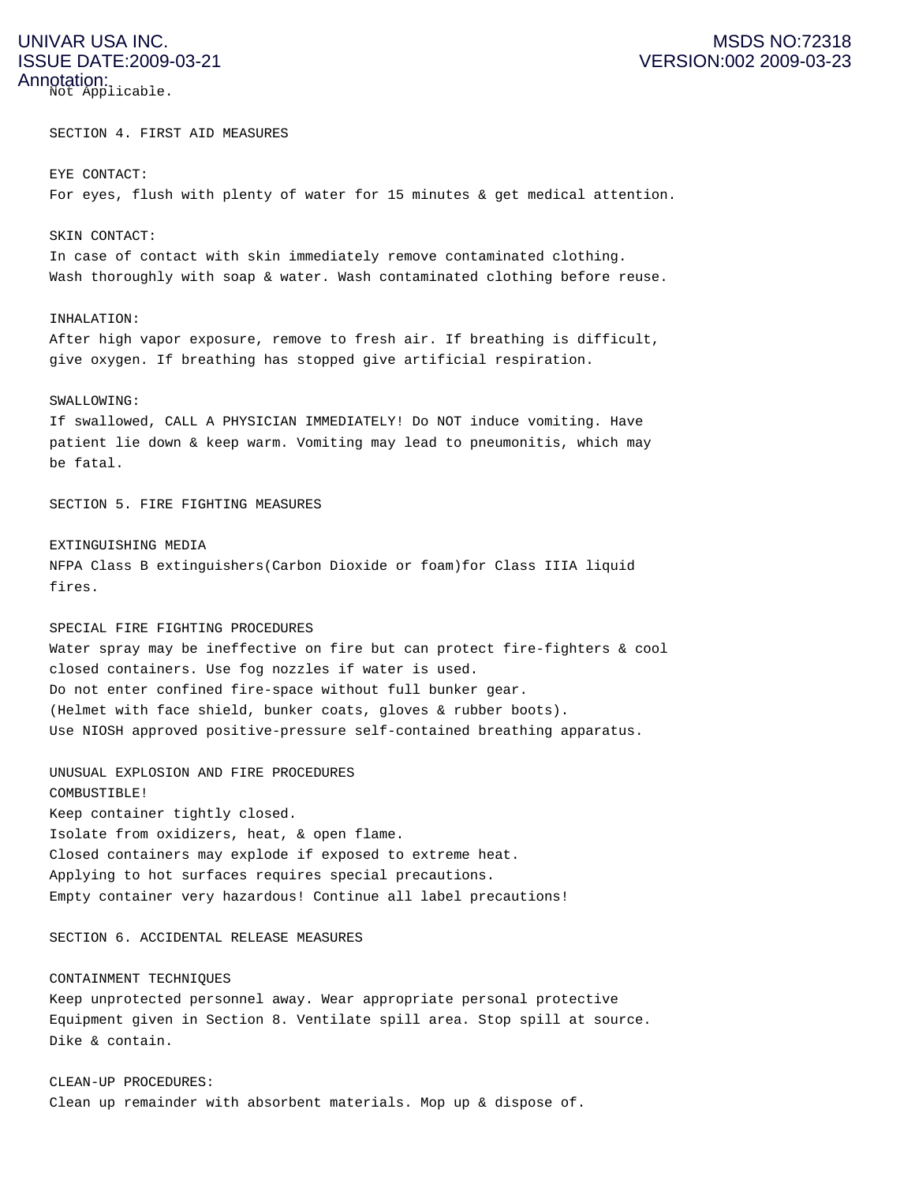Not Applicable.

SECTION 4. FIRST AID MEASURES

#### EYE CONTACT:

For eyes, flush with plenty of water for 15 minutes & get medical attention.

#### SKIN CONTACT:

In case of contact with skin immediately remove contaminated clothing. Wash thoroughly with soap & water. Wash contaminated clothing before reuse.

#### INHALATION:

After high vapor exposure, remove to fresh air. If breathing is difficult, give oxygen. If breathing has stopped give artificial respiration.

#### SWALLOWING:

If swallowed, CALL A PHYSICIAN IMMEDIATELY! Do NOT induce vomiting. Have patient lie down & keep warm. Vomiting may lead to pneumonitis, which may be fatal.

SECTION 5. FIRE FIGHTING MEASURES

#### EXTINGUISHING MEDIA

NFPA Class B extinguishers(Carbon Dioxide or foam)for Class IIIA liquid fires.

#### SPECIAL FIRE FIGHTING PROCEDURES

Water spray may be ineffective on fire but can protect fire-fighters & cool closed containers. Use fog nozzles if water is used. Do not enter confined fire-space without full bunker gear. (Helmet with face shield, bunker coats, gloves & rubber boots). Use NIOSH approved positive-pressure self-contained breathing apparatus.

### UNUSUAL EXPLOSION AND FIRE PROCEDURES

COMBUSTIBLE! Keep container tightly closed. Isolate from oxidizers, heat, & open flame. Closed containers may explode if exposed to extreme heat. Applying to hot surfaces requires special precautions. Empty container very hazardous! Continue all label precautions!

SECTION 6. ACCIDENTAL RELEASE MEASURES

#### CONTAINMENT TECHNIQUES

Keep unprotected personnel away. Wear appropriate personal protective Equipment given in Section 8. Ventilate spill area. Stop spill at source. Dike & contain.

CLEAN-UP PROCEDURES: Clean up remainder with absorbent materials. Mop up & dispose of.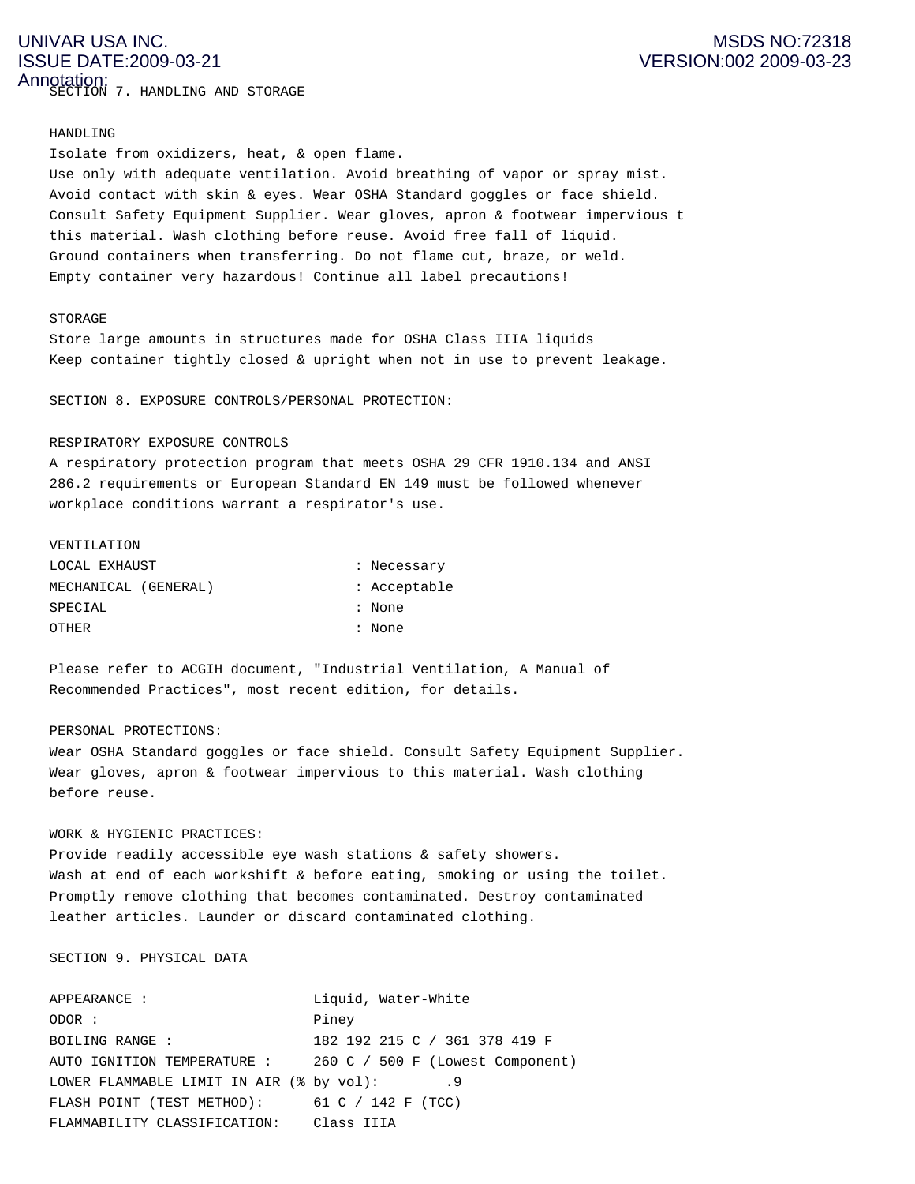## ISSUE DATE:2009-03-21 VERSION:002 2009-03-23 Annotation:

SECTION 7. HANDLING AND STORAGE

#### HANDLING

Isolate from oxidizers, heat, & open flame. Use only with adequate ventilation. Avoid breathing of vapor or spray mist. Avoid contact with skin & eyes. Wear OSHA Standard goggles or face shield. Consult Safety Equipment Supplier. Wear gloves, apron & footwear impervious t this material. Wash clothing before reuse. Avoid free fall of liquid. Ground containers when transferring. Do not flame cut, braze, or weld. Empty container very hazardous! Continue all label precautions!

#### STORAGE

Store large amounts in structures made for OSHA Class IIIA liquids Keep container tightly closed & upright when not in use to prevent leakage.

SECTION 8. EXPOSURE CONTROLS/PERSONAL PROTECTION:

#### RESPIRATORY EXPOSURE CONTROLS

A respiratory protection program that meets OSHA 29 CFR 1910.134 and ANSI 286.2 requirements or European Standard EN 149 must be followed whenever workplace conditions warrant a respirator's use.

#### VENTILATION

| LOCAL EXHAUST        | : Necessary  |
|----------------------|--------------|
| MECHANICAL (GENERAL) | : Acceptable |
| SPECIAL              | : None       |
| OTHER                | : None       |

Please refer to ACGIH document, "Industrial Ventilation, A Manual of Recommended Practices", most recent edition, for details.

#### PERSONAL PROTECTIONS:

Wear OSHA Standard goggles or face shield. Consult Safety Equipment Supplier. Wear gloves, apron & footwear impervious to this material. Wash clothing before reuse.

#### WORK & HYGIENIC PRACTICES:

Provide readily accessible eye wash stations & safety showers. Wash at end of each workshift & before eating, smoking or using the toilet. Promptly remove clothing that becomes contaminated. Destroy contaminated leather articles. Launder or discard contaminated clothing.

#### SECTION 9. PHYSICAL DATA

| APPEARANCE:                              | Liquid, Water-White              |
|------------------------------------------|----------------------------------|
| ODOR:                                    | Piney                            |
| BOILING RANGE :                          | 182 192 215 C / 361 378 419 F    |
| AUTO IGNITION TEMPERATURE :              | 260 C / 500 F (Lowest Component) |
| LOWER FLAMMABLE LIMIT IN AIR (% by vol): | . 9                              |
| FLASH POINT (TEST METHOD):               | 61 C / 142 F (TCC)               |
| FLAMMABILITY CLASSIFICATION:             | Class IIIA                       |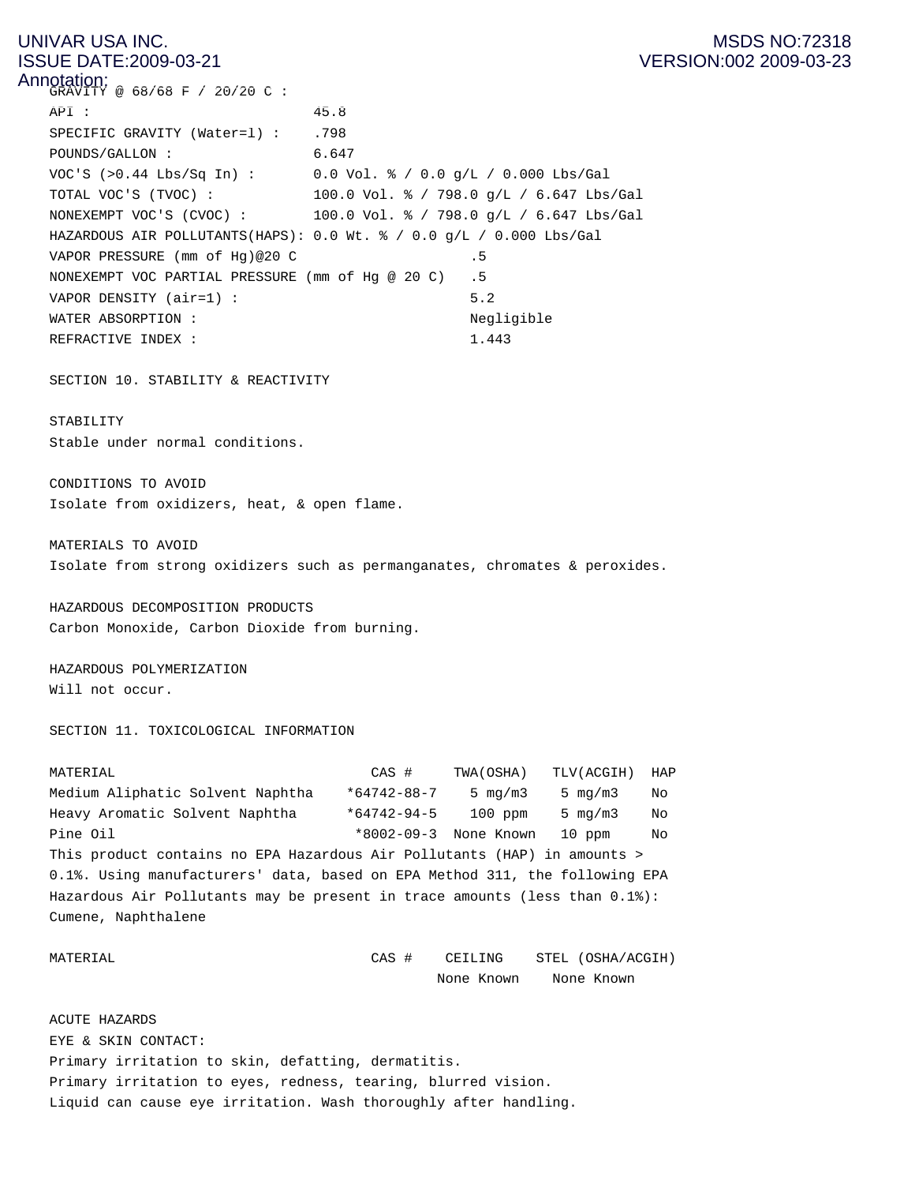### UNIVAR USA INC. **MSDS NO:72318** ISSUE DATE:2009-03-21 VERSION:002 2009-03-23

 $\mathsf{Annation:}\ \mathsf{GRAVITY}\ \circledcirc\ \mathsf{68/68}\ \mathsf{F}$  / 20/20 C: API : 45.8 SPECIFIC GRAVITY (Water=1) : .798 POUNDS/GALLON : 6.647 VOC'S (>0.44 Lbs/Sq In) : 0.0 Vol. % / 0.0 g/L / 0.000 Lbs/Gal TOTAL VOC'S (TVOC) : 100.0 Vol. % / 798.0 g/L / 6.647 Lbs/Gal NONEXEMPT VOC'S (CVOC) : 100.0 Vol. % / 798.0 g/L / 6.647 Lbs/Gal HAZARDOUS AIR POLLUTANTS(HAPS): 0.0 Wt. % / 0.0 g/L / 0.000 Lbs/Gal VAPOR PRESSURE (mm of Hq)@20 C .5 NONEXEMPT VOC PARTIAL PRESSURE (mm of Hg @ 20 C) .5 VAPOR DENSITY (air=1) : 5.2 WATER ABSORPTION :  $\blacksquare$ REFRACTIVE INDEX : 1.443

SECTION 10. STABILITY & REACTIVITY

#### STABILITY

Stable under normal conditions.

CONDITIONS TO AVOID Isolate from oxidizers, heat, & open flame.

MATERIALS TO AVOID Isolate from strong oxidizers such as permanganates, chromates & peroxides.

HAZARDOUS DECOMPOSITION PRODUCTS Carbon Monoxide, Carbon Dioxide from burning.

HAZARDOUS POLYMERIZATION Will not occur.

SECTION 11. TOXICOLOGICAL INFORMATION

| MATERIAL                                                                    | CAS #             | TWA(OSHA)             | TLV(ACGIH) | HAP |  |  |
|-----------------------------------------------------------------------------|-------------------|-----------------------|------------|-----|--|--|
| Medium Aliphatic Solvent Naphtha                                            | $*64742 - 88 - 7$ | 5 $mq/m3$             | 5 $mq/m3$  | No  |  |  |
| Heavy Aromatic Solvent Naphtha                                              | $*64742 - 94 - 5$ | $100$ ppm             | 5 $mq/m3$  | No  |  |  |
| Pine Oil                                                                    |                   | *8002-09-3 None Known | $10$ ppm   | No  |  |  |
| This product contains no EPA Hazardous Air Pollutants (HAP) in amounts >    |                   |                       |            |     |  |  |
| 0.1%. Using manufacturers' data, based on EPA Method 311, the following EPA |                   |                       |            |     |  |  |
| Hazardous Air Pollutants may be present in trace amounts (less than 0.1%):  |                   |                       |            |     |  |  |
| Cumene, Naphthalene                                                         |                   |                       |            |     |  |  |
|                                                                             |                   |                       |            |     |  |  |

MATERIAL CAS # CEILING STEL (OSHA/ACGIH) None Known None Known

ACUTE HAZARDS EYE & SKIN CONTACT: Primary irritation to skin, defatting, dermatitis. Primary irritation to eyes, redness, tearing, blurred vision. Liquid can cause eye irritation. Wash thoroughly after handling.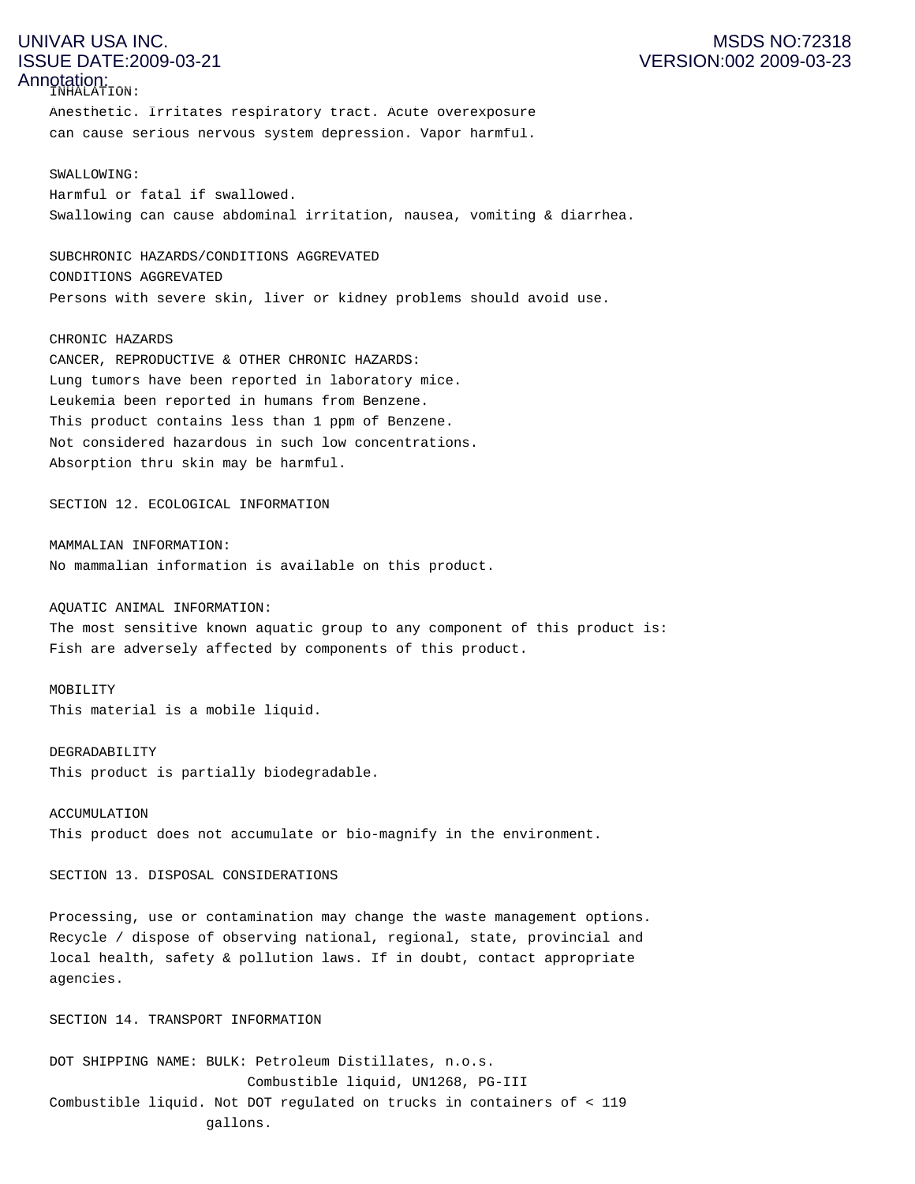INHALATION:

Anesthetic. Irritates respiratory tract. Acute overexposure can cause serious nervous system depression. Vapor harmful.

#### SWALLOWING:

Harmful or fatal if swallowed. Swallowing can cause abdominal irritation, nausea, vomiting & diarrhea.

SUBCHRONIC HAZARDS/CONDITIONS AGGREVATED CONDITIONS AGGREVATED Persons with severe skin, liver or kidney problems should avoid use.

#### CHRONIC HAZARDS

CANCER, REPRODUCTIVE & OTHER CHRONIC HAZARDS: Lung tumors have been reported in laboratory mice. Leukemia been reported in humans from Benzene. This product contains less than 1 ppm of Benzene. Not considered hazardous in such low concentrations. Absorption thru skin may be harmful.

SECTION 12. ECOLOGICAL INFORMATION

MAMMALIAN INFORMATION: No mammalian information is available on this product.

AQUATIC ANIMAL INFORMATION:

The most sensitive known aquatic group to any component of this product is: Fish are adversely affected by components of this product.

MOBILITY

This material is a mobile liquid.

DEGRADABILITY This product is partially biodegradable.

ACCUMULATION This product does not accumulate or bio-magnify in the environment.

SECTION 13. DISPOSAL CONSIDERATIONS

Processing, use or contamination may change the waste management options. Recycle / dispose of observing national, regional, state, provincial and local health, safety & pollution laws. If in doubt, contact appropriate agencies.

SECTION 14. TRANSPORT INFORMATION

DOT SHIPPING NAME: BULK: Petroleum Distillates, n.o.s. Combustible liquid, UN1268, PG-III Combustible liquid. Not DOT regulated on trucks in containers of < 119 gallons.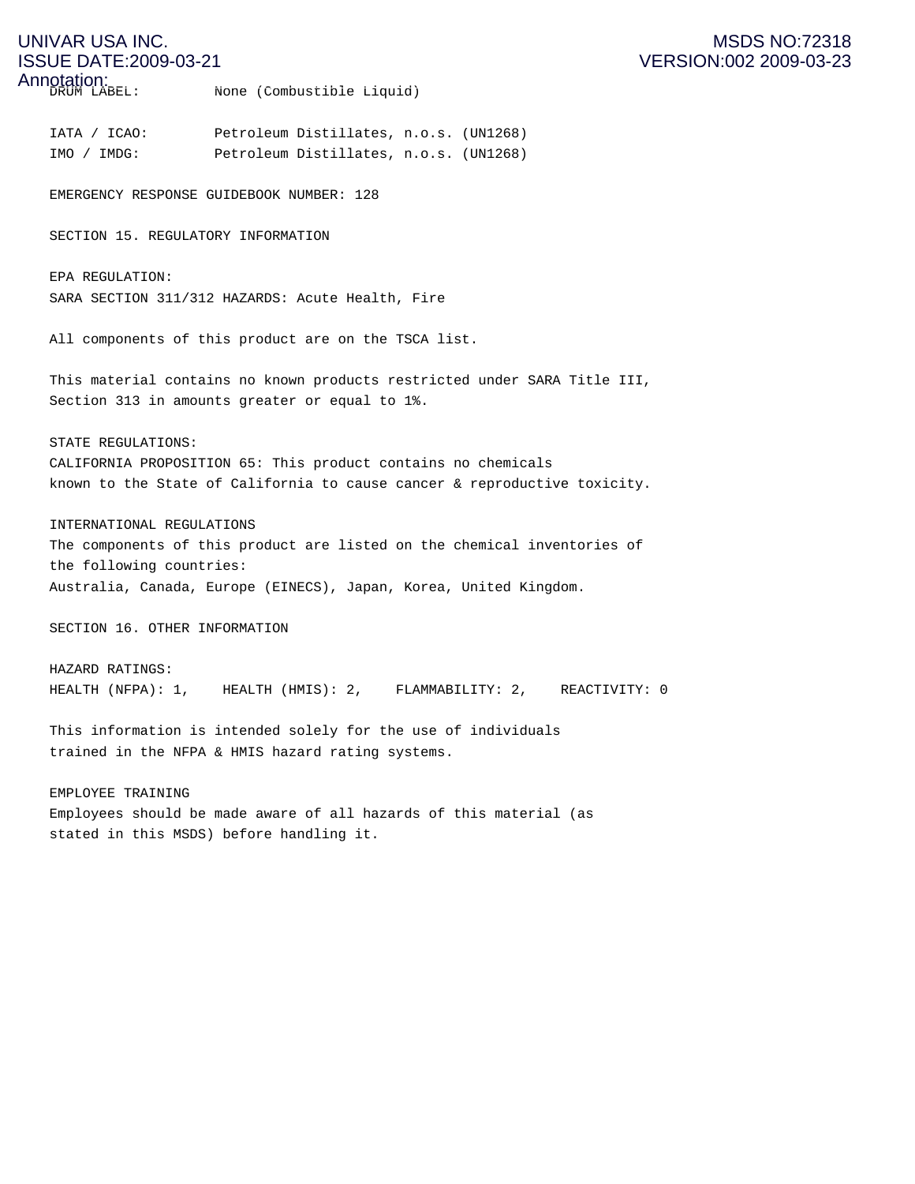DRUM LABEL: None (Combustible Liquid)

IATA / ICAO: Petroleum Distillates, n.o.s. (UN1268) IMO / IMDG: Petroleum Distillates, n.o.s. (UN1268)

EMERGENCY RESPONSE GUIDEBOOK NUMBER: 128

SECTION 15. REGULATORY INFORMATION

EPA REGULATION: SARA SECTION 311/312 HAZARDS: Acute Health, Fire

All components of this product are on the TSCA list.

This material contains no known products restricted under SARA Title III, Section 313 in amounts greater or equal to 1%.

STATE REGULATIONS:

CALIFORNIA PROPOSITION 65: This product contains no chemicals known to the State of California to cause cancer & reproductive toxicity.

INTERNATIONAL REGULATIONS

The components of this product are listed on the chemical inventories of the following countries: Australia, Canada, Europe (EINECS), Japan, Korea, United Kingdom.

SECTION 16. OTHER INFORMATION

HAZARD RATINGS: HEALTH (NFPA): 1, HEALTH (HMIS): 2, FLAMMABILITY: 2, REACTIVITY: 0

This information is intended solely for the use of individuals trained in the NFPA & HMIS hazard rating systems.

EMPLOYEE TRAINING Employees should be made aware of all hazards of this material (as stated in this MSDS) before handling it.